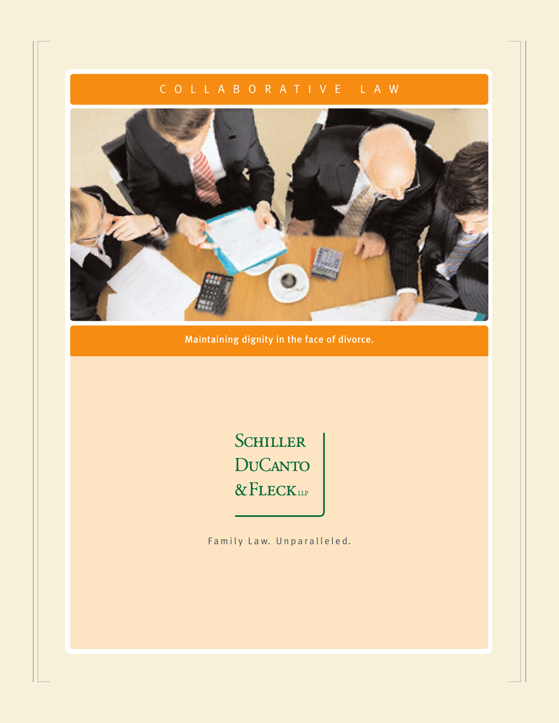# COLLABORATIVE LAW



Maintaining dignity in the face of divorce.

SCHILLER **DUCANTO** & FLECKLIP

Family Law. Unparalleled.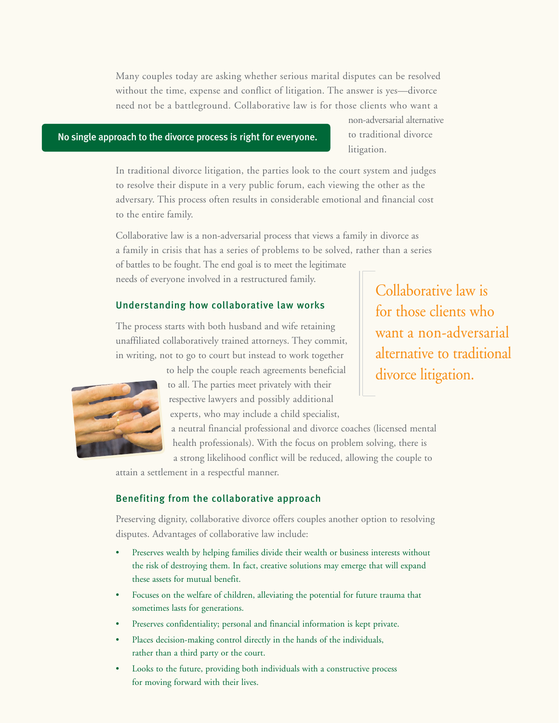Many couples today are asking whether serious marital disputes can be resolved without the time, expense and conflict of litigation. The answer is yes—divorce need not be a battleground. Collaborative law is for those clients who want a

# No single approach to the divorce process is right for everyone.

non-adversarial alternative to traditional divorce litigation.

In traditional divorce litigation, the parties look to the court system and judges to resolve their dispute in a very public forum, each viewing the other as the adversary. This process often results in considerable emotional and financial cost to the entire family.

Collaborative law is a non-adversarial process that views a family in divorce as a family in crisis that has a series of problems to be solved, rather than a series of battles to be fought. The end goal is to meet the legitimate needs of everyone involved in a restructured family.

#### Understanding how collaborative law works

The process starts with both husband and wife retaining unaffiliated collaboratively trained attorneys. They commit, in writing, not to go to court but instead to work together



to help the couple reach agreements beneficial to all. The parties meet privately with their respective lawyers and possibly additional experts, who may include a child specialist,

a neutral financial professional and divorce coaches (licensed mental health professionals). With the focus on problem solving, there is a strong likelihood conflict will be reduced, allowing the couple to

attain a settlement in a respectful manner.

#### Benefiting from the collaborative approach

Preserving dignity, collaborative divorce offers couples another option to resolving disputes. Advantages of collaborative law include:

- Preserves wealth by helping families divide their wealth or business interests without the risk of destroying them. In fact, creative solutions may emerge that will expand these assets for mutual benefit.
- Focuses on the welfare of children, alleviating the potential for future trauma that sometimes lasts for generations.
- Preserves confidentiality; personal and financial information is kept private.
- Places decision-making control directly in the hands of the individuals, rather than a third party or the court.
- Looks to the future, providing both individuals with a constructive process for moving forward with their lives.

Collaborative law is for those clients who want a non-adversarial alternative to traditional divorce litigation.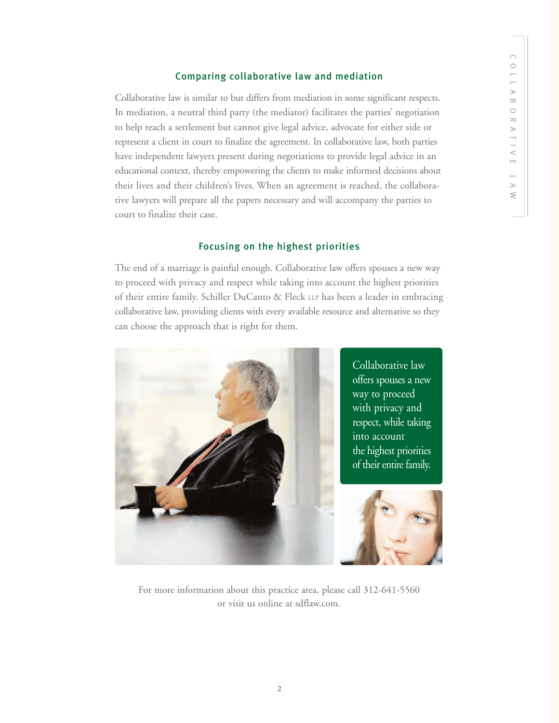### Comparing collaborative law and mediation

Collaborative law is similar to but differs from mediation in some significant respects. In mediation, a neutral third party (the mediator) facilitates the parties' negotiation to help reach a settlement but cannot give legal advice, advocate for either side or represent a client in court to finalize the agreement. In collaborative law, both parties have independent lawyers present during negotiations to provide legal advice in an educational context, thereby empowering the clients to make informed decisions about their lives and their children's lives. When an agreement is reached, the collaborative lawyers will prepare all the papers necessary and will accompany the parties to court to finalize their case.

# Focusing on the highest priorities

The end of a marriage is painful enough. Collaborative law offers spouses a new way to proceed with privacy and respect while taking into account the highest priorities of their entire family. Schiller DuCanto & Fleck LLP has been a leader in embracing collaborative law, providing clients with every available resource and alternative so they can choose the approach that is right for them.



For more information about this practice area, please call 312-641-5560 or visit us online at sdflaw.com.